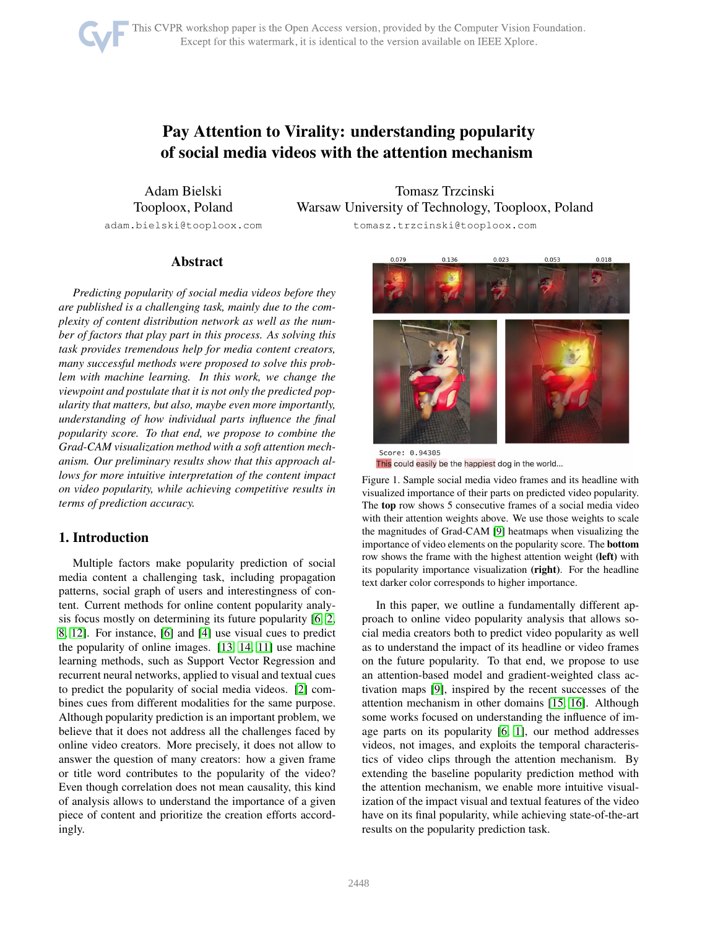# Pay Attention to Virality: understanding popularity of social media videos with the attention mechanism

Adam Bielski Tooploox, Poland adam.bielski@tooploox.com

Tomasz Trzcinski Warsaw University of Technology, Tooploox, Poland tomasz.trzcinski@tooploox.com

## Abstract

*Predicting popularity of social media videos before they are published is a challenging task, mainly due to the complexity of content distribution network as well as the number of factors that play part in this process. As solving this task provides tremendous help for media content creators, many successful methods were proposed to solve this problem with machine learning. In this work, we change the viewpoint and postulate that it is not only the predicted popularity that matters, but also, maybe even more importantly, understanding of how individual parts influence the final popularity score. To that end, we propose to combine the Grad-CAM visualization method with a soft attention mechanism. Our preliminary results show that this approach allows for more intuitive interpretation of the content impact on video popularity, while achieving competitive results in terms of prediction accuracy.*

## 1. Introduction

Multiple factors make popularity prediction of social media content a challenging task, including propagation patterns, social graph of users and interestingness of content. Current methods for online content popularity analysis focus mostly on determining its future popularity [\[6,](#page-2-0) [2,](#page-2-1) [8,](#page-2-2) [12\]](#page-2-3). For instance, [\[6\]](#page-2-0) and [\[4\]](#page-2-4) use visual cues to predict the popularity of online images. [\[13,](#page-2-5) [14,](#page-2-6) [11\]](#page-2-7) use machine learning methods, such as Support Vector Regression and recurrent neural networks, applied to visual and textual cues to predict the popularity of social media videos. [\[2\]](#page-2-1) combines cues from different modalities for the same purpose. Although popularity prediction is an important problem, we believe that it does not address all the challenges faced by online video creators. More precisely, it does not allow to answer the question of many creators: how a given frame or title word contributes to the popularity of the video? Even though correlation does not mean causality, this kind of analysis allows to understand the importance of a given piece of content and prioritize the creation efforts accordingly.



<span id="page-0-0"></span>

Figure 1. Sample social media video frames and its headline with visualized importance of their parts on predicted video popularity. The top row shows 5 consecutive frames of a social media video with their attention weights above. We use those weights to scale the magnitudes of Grad-CAM [\[9\]](#page-2-8) heatmaps when visualizing the importance of video elements on the popularity score. The bottom row shows the frame with the highest attention weight (left) with its popularity importance visualization (right). For the headline text darker color corresponds to higher importance.

In this paper, we outline a fundamentally different approach to online video popularity analysis that allows social media creators both to predict video popularity as well as to understand the impact of its headline or video frames on the future popularity. To that end, we propose to use an attention-based model and gradient-weighted class activation maps [\[9\]](#page-2-8), inspired by the recent successes of the attention mechanism in other domains [\[15,](#page-2-9) [16\]](#page-2-10). Although some works focused on understanding the influence of image parts on its popularity [\[6,](#page-2-0) [1\]](#page-2-11), our method addresses videos, not images, and exploits the temporal characteristics of video clips through the attention mechanism. By extending the baseline popularity prediction method with the attention mechanism, we enable more intuitive visualization of the impact visual and textual features of the video have on its final popularity, while achieving state-of-the-art results on the popularity prediction task.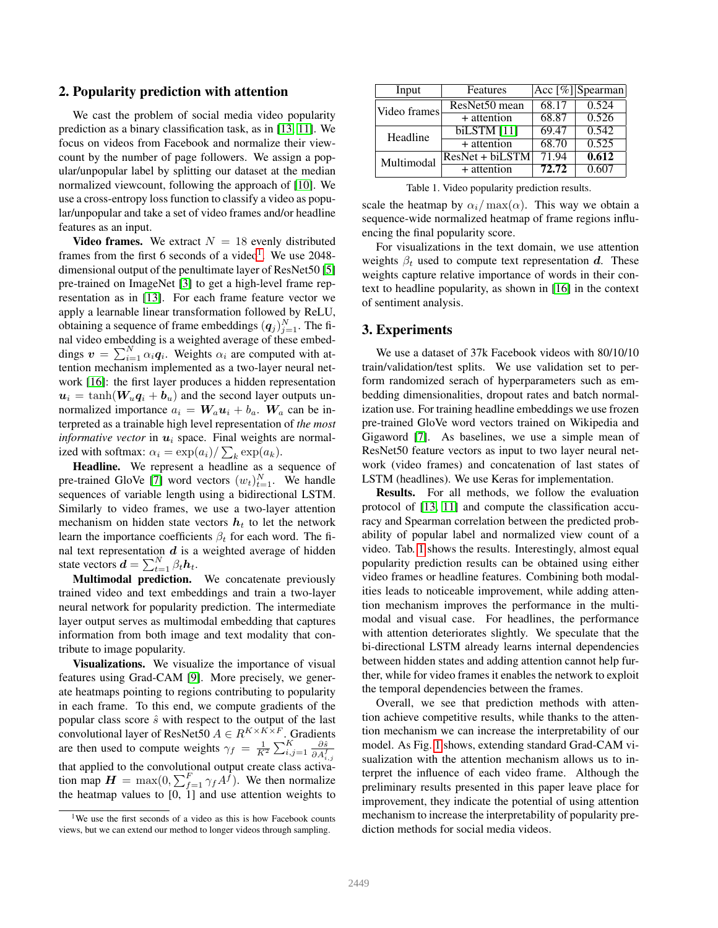#### 2. Popularity prediction with attention

We cast the problem of social media video popularity prediction as a binary classification task, as in [\[13,](#page-2-5) [11\]](#page-2-7). We focus on videos from Facebook and normalize their viewcount by the number of page followers. We assign a popular/unpopular label by splitting our dataset at the median normalized viewcount, following the approach of [\[10\]](#page-2-12). We use a cross-entropy loss function to classify a video as popular/unpopular and take a set of video frames and/or headline features as an input.

**Video frames.** We extract  $N = 18$  evenly distributed frames from the first 6 seconds of a video<sup>[1](#page-1-0)</sup>. We use 2048dimensional output of the penultimate layer of ResNet50 [\[5\]](#page-2-13) pre-trained on ImageNet [\[3\]](#page-2-14) to get a high-level frame representation as in [\[13\]](#page-2-5). For each frame feature vector we apply a learnable linear transformation followed by ReLU, obtaining a sequence of frame embeddings  $(q_j)_{j=1}^N$ . The final video embedding is a weighted average of these embeddings  $\mathbf{v} = \sum_{i=1}^{N} \alpha_i \mathbf{q}_i$ . Weights  $\alpha_i$  are computed with attention mechanism implemented as a two-layer neural network [\[16\]](#page-2-10): the first layer produces a hidden representation  $u_i = \tanh(W_u q_i + b_u)$  and the second layer outputs unnormalized importance  $a_i = W_a u_i + b_a$ .  $W_a$  can be interpreted as a trainable high level representation of *the most informative vector* in  $u_i$  space. Final weights are normalized with softmax:  $\alpha_i = \exp(a_i) / \sum_k \exp(a_k)$ .

Headline. We represent a headline as a sequence of pre-trained GloVe [\[7\]](#page-2-15) word vectors  $(w_t)_{t=1}^N$ . We handle sequences of variable length using a bidirectional LSTM. Similarly to video frames, we use a two-layer attention mechanism on hidden state vectors  $h_t$  to let the network learn the importance coefficients  $\beta_t$  for each word. The final text representation  $d$  is a weighted average of hidden state vectors  $\boldsymbol{d} = \sum_{t=1}^{N} \beta_t \boldsymbol{h}_t$ .

Multimodal prediction. We concatenate previously trained video and text embeddings and train a two-layer neural network for popularity prediction. The intermediate layer output serves as multimodal embedding that captures information from both image and text modality that contribute to image popularity.

Visualizations. We visualize the importance of visual features using Grad-CAM [\[9\]](#page-2-8). More precisely, we generate heatmaps pointing to regions contributing to popularity in each frame. To this end, we compute gradients of the popular class score  $\hat{s}$  with respect to the output of the last convolutional layer of ResNet50  $A \in R^{K \times K \times F}$ . Gradients are then used to compute weights  $\gamma_f = \frac{1}{K^2} \sum_{i,j=1}^K \frac{\partial \hat{s}}{\partial A_i^f}$  $\overline{\partial A^f_{i,j}}$ that applied to the convolutional output create class activation map  $\mathbf{H} = \max(0, \sum_{f=1}^{F} \gamma_f A^{\hat{f}})$ . We then normalize the heatmap values to  $[0, 1]$  and use attention weights to

| Input        | Features          |       | $ \overline{Acc}[\%] $ Spearman |
|--------------|-------------------|-------|---------------------------------|
| Video frames | ResNet50 mean     | 68.17 | 0.524                           |
|              | $+$ attention     | 68.87 | 0.526                           |
| Headline     | biLSTM $[11]$     | 69.47 | 0.542                           |
|              | $+$ attention     | 68.70 | 0.525                           |
| Multimodal   | $ResNet + biLSTM$ | 71.94 | 0.612                           |
|              | $+$ attention     | 72.72 | 0.607                           |

<span id="page-1-1"></span>Table 1. Video popularity prediction results.

scale the heatmap by  $\alpha_i / \max(\alpha)$ . This way we obtain a sequence-wide normalized heatmap of frame regions influencing the final popularity score.

For visualizations in the text domain, we use attention weights  $\beta_t$  used to compute text representation d. These weights capture relative importance of words in their context to headline popularity, as shown in [\[16\]](#page-2-10) in the context of sentiment analysis.

#### 3. Experiments

We use a dataset of 37k Facebook videos with 80/10/10 train/validation/test splits. We use validation set to perform randomized serach of hyperparameters such as embedding dimensionalities, dropout rates and batch normalization use. For training headline embeddings we use frozen pre-trained GloVe word vectors trained on Wikipedia and Gigaword [\[7\]](#page-2-15). As baselines, we use a simple mean of ResNet50 feature vectors as input to two layer neural network (video frames) and concatenation of last states of LSTM (headlines). We use Keras for implementation.

Results. For all methods, we follow the evaluation protocol of [\[13,](#page-2-5) [11\]](#page-2-7) and compute the classification accuracy and Spearman correlation between the predicted probability of popular label and normalized view count of a video. Tab. [1](#page-1-1) shows the results. Interestingly, almost equal popularity prediction results can be obtained using either video frames or headline features. Combining both modalities leads to noticeable improvement, while adding attention mechanism improves the performance in the multimodal and visual case. For headlines, the performance with attention deteriorates slightly. We speculate that the bi-directional LSTM already learns internal dependencies between hidden states and adding attention cannot help further, while for video frames it enables the network to exploit the temporal dependencies between the frames.

Overall, we see that prediction methods with attention achieve competitive results, while thanks to the attention mechanism we can increase the interpretability of our model. As Fig. [1](#page-0-0) shows, extending standard Grad-CAM visualization with the attention mechanism allows us to interpret the influence of each video frame. Although the preliminary results presented in this paper leave place for improvement, they indicate the potential of using attention mechanism to increase the interpretability of popularity prediction methods for social media videos.

<span id="page-1-0"></span><sup>&</sup>lt;sup>1</sup>We use the first seconds of a video as this is how Facebook counts views, but we can extend our method to longer videos through sampling.